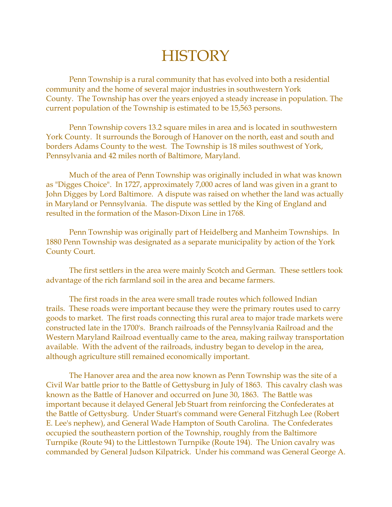## **HISTORY**

Penn Township is a rural community that has evolved into both a residential community and the home of several major industries in southwestern York County. The Township has over the years enjoyed a steady increase in population. The current population of the Township is estimated to be 15,563 persons.

Penn Township covers 13.2 square miles in area and is located in southwestern York County. It surrounds the Borough of Hanover on the north, east and south and borders Adams County to the west. The Township is 18 miles southwest of York, Pennsylvania and 42 miles north of Baltimore, Maryland.

Much of the area of Penn Township was originally included in what was known as "Digges Choice". In 1727, approximately 7,000 acres of land was given in a grant to John Digges by Lord Baltimore. A dispute was raised on whether the land was actually in Maryland or Pennsylvania. The dispute was settled by the King of England and resulted in the formation of the Mason-Dixon Line in 1768.

Penn Township was originally part of Heidelberg and Manheim Townships. In 1880 Penn Township was designated as a separate municipality by action of the York County Court.

The first settlers in the area were mainly Scotch and German. These settlers took advantage of the rich farmland soil in the area and became farmers.

The first roads in the area were small trade routes which followed Indian trails. These roads were important because they were the primary routes used to carry goods to market. The first roads connecting this rural area to major trade markets were constructed late in the 1700's. Branch railroads of the Pennsylvania Railroad and the Western Maryland Railroad eventually came to the area, making railway transportation available. With the advent of the railroads, industry began to develop in the area, although agriculture still remained economically important.

The Hanover area and the area now known as Penn Township was the site of a Civil War battle prior to the Battle of Gettysburg in July of 1863. This cavalry clash was known as the Battle of Hanover and occurred on June 30, 1863. The Battle was important because it delayed General Jeb Stuart from reinforcing the Confederates at the Battle of Gettysburg. Under Stuart's command were General Fitzhugh Lee (Robert E. Lee's nephew), and General Wade Hampton of South Carolina. The Confederates occupied the southeastern portion of the Township, roughly from the Baltimore Turnpike (Route 94) to the Littlestown Turnpike (Route 194). The Union cavalry was commanded by General Judson Kilpatrick. Under his command was General George A.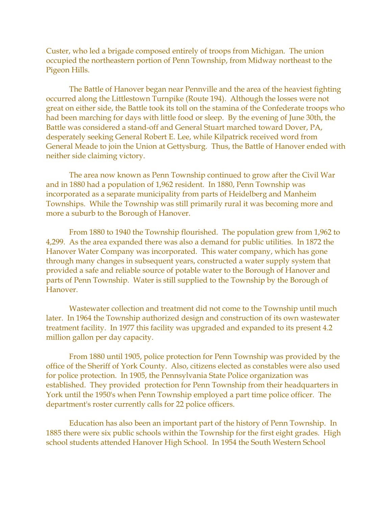Custer, who led a brigade composed entirely of troops from Michigan. The union occupied the northeastern portion of Penn Township, from Midway northeast to the Pigeon Hills.

The Battle of Hanover began near Pennville and the area of the heaviest fighting occurred along the Littlestown Turnpike (Route 194). Although the losses were not great on either side, the Battle took its toll on the stamina of the Confederate troops who had been marching for days with little food or sleep. By the evening of June 30th, the Battle was considered a stand-off and General Stuart marched toward Dover, PA, desperately seeking General Robert E. Lee, while Kilpatrick received word from General Meade to join the Union at Gettysburg. Thus, the Battle of Hanover ended with neither side claiming victory.

The area now known as Penn Township continued to grow after the Civil War and in 1880 had a population of 1,962 resident. In 1880, Penn Township was incorporated as a separate municipality from parts of Heidelberg and Manheim Townships. While the Township was still primarily rural it was becoming more and more a suburb to the Borough of Hanover.

From 1880 to 1940 the Township flourished. The population grew from 1,962 to 4,299. As the area expanded there was also a demand for public utilities. In 1872 the Hanover Water Company was incorporated. This water company, which has gone through many changes in subsequent years, constructed a water supply system that provided a safe and reliable source of potable water to the Borough of Hanover and parts of Penn Township. Water is still supplied to the Township by the Borough of Hanover.

Wastewater collection and treatment did not come to the Township until much later. In 1964 the Township authorized design and construction of its own wastewater treatment facility. In 1977 this facility was upgraded and expanded to its present 4.2 million gallon per day capacity.

From 1880 until 1905, police protection for Penn Township was provided by the office of the Sheriff of York County. Also, citizens elected as constables were also used for police protection. In 1905, the Pennsylvania State Police organization was established. They provided protection for Penn Township from their headquarters in York until the 1950's when Penn Township employed a part time police officer. The department's roster currently calls for 22 police officers.

Education has also been an important part of the history of Penn Township. In 1885 there were six public schools within the Township for the first eight grades. High school students attended Hanover High School. In 1954 the South Western School